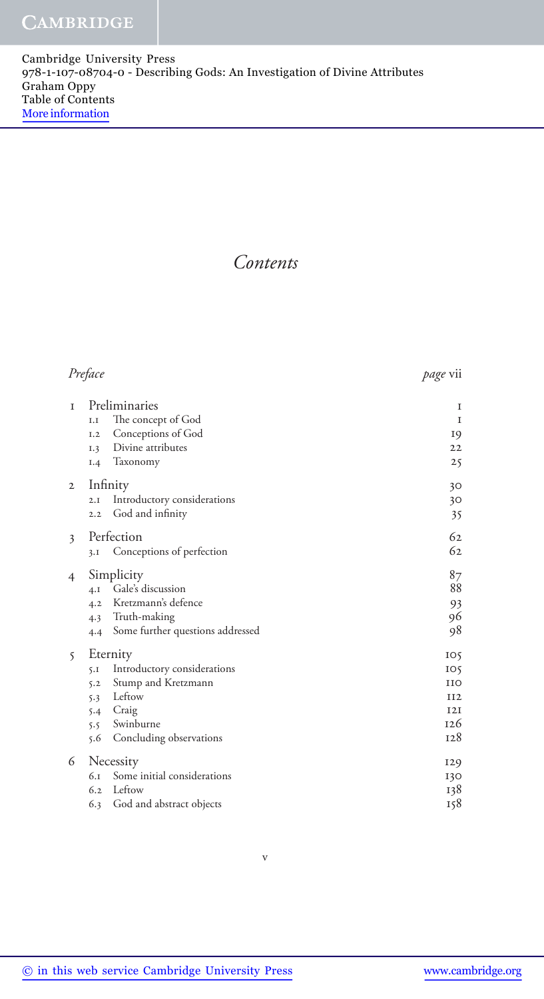*Contents* 

## *Preface page* vii

| $\mathbf{I}$ | Preliminaries<br>The concept of God<br>I.I | 1<br>$\mathbf I$ |
|--------------|--------------------------------------------|------------------|
|              | Conceptions of God<br>I.2                  | 19               |
|              | Divine attributes<br>I.3                   | 22               |
|              | Taxonomy<br>I.4                            | 25               |
| $\mathbf{2}$ | Infinity                                   | 30               |
|              | Introductory considerations<br>2.I         | 30               |
|              | God and infinity<br>2.2                    | 35               |
| 3            | Perfection                                 | 62               |
|              | Conceptions of perfection<br>3.1           | 62               |
| 4            | Simplicity                                 | 87               |
|              | 4.1 Gale's discussion                      | 88               |
|              | 4.2 Kretzmann's defence                    | 93               |
|              | 4.3 Truth-making                           | 96               |
|              | 4.4 Some further questions addressed       | 98               |
| $\mathsf{S}$ | Eternity                                   | IO <sub>5</sub>  |
|              | Introductory considerations<br>5.1         | IO5              |
|              | Stump and Kretzmann<br>5.2                 | <b>IIO</b>       |
|              | Leftow<br>5.3                              | II2              |
|              | 5.4 Craig                                  | 12I              |
|              | 5.5 Swinburne                              | 126              |
|              | Concluding observations<br>5.6             | 128              |
| 6            | Necessity                                  | 129              |
|              | Some initial considerations<br>6.1         | 130              |
|              | Leftow<br>6.2                              | 138              |

6.3 God and abstract objects 158